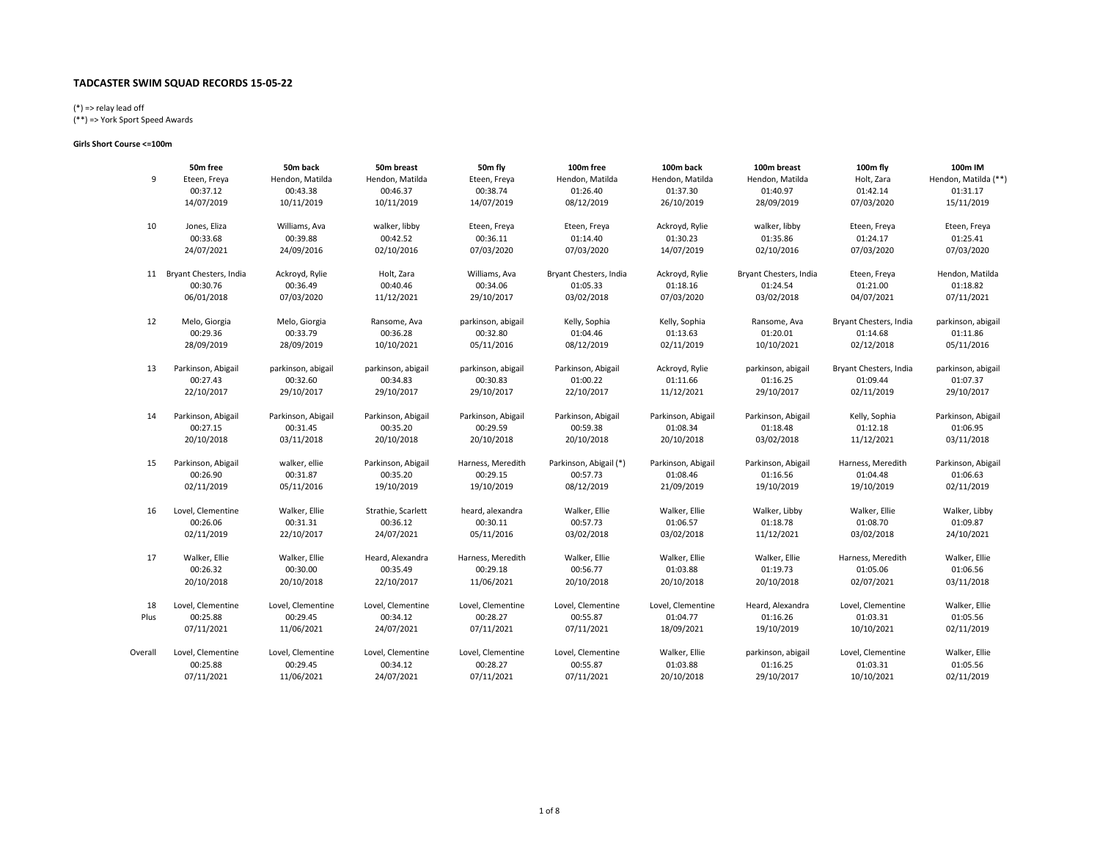# (\*) => relay lead off

(\*\*) => York Sport Speed Awards

#### Girls Short Course <=100m

|         | 50m free               | 50m back           | 50m breast         | 50m fly            | 100m free              | 100m back          | 100m breast            | 100m fly               | 100m IM              |
|---------|------------------------|--------------------|--------------------|--------------------|------------------------|--------------------|------------------------|------------------------|----------------------|
| 9       | Eteen, Freya           | Hendon, Matilda    | Hendon, Matilda    | Eteen, Freya       | Hendon, Matilda        | Hendon, Matilda    | Hendon, Matilda        | Holt, Zara             | Hendon, Matilda (**) |
|         | 00:37.12               | 00:43.38           | 00:46.37           | 00:38.74           | 01:26.40               | 01:37.30           | 01:40.97               | 01:42.14               | 01:31.17             |
|         | 14/07/2019             | 10/11/2019         | 10/11/2019         | 14/07/2019         | 08/12/2019             | 26/10/2019         | 28/09/2019             | 07/03/2020             | 15/11/2019           |
| 10      | Jones, Eliza           | Williams, Ava      | walker, libby      | Eteen, Freya       | Eteen, Freya           | Ackroyd, Rylie     | walker, libby          | Eteen, Freya           | Eteen, Freya         |
|         | 00:33.68               | 00:39.88           | 00:42.52           | 00:36.11           | 01:14.40               | 01:30.23           | 01:35.86               | 01:24.17               | 01:25.41             |
|         | 24/07/2021             | 24/09/2016         | 02/10/2016         | 07/03/2020         | 07/03/2020             | 14/07/2019         | 02/10/2016             | 07/03/2020             | 07/03/2020           |
| 11      | Bryant Chesters, India | Ackroyd, Rylie     | Holt, Zara         | Williams, Ava      | Bryant Chesters, India | Ackroyd, Rylie     | Bryant Chesters, India | Eteen, Freya           | Hendon, Matilda      |
|         | 00:30.76               | 00:36.49           | 00:40.46           | 00:34.06           | 01:05.33               | 01:18.16           | 01:24.54               | 01:21.00               | 01:18.82             |
|         | 06/01/2018             | 07/03/2020         | 11/12/2021         | 29/10/2017         | 03/02/2018             | 07/03/2020         | 03/02/2018             | 04/07/2021             | 07/11/2021           |
| 12      | Melo, Giorgia          | Melo, Giorgia      | Ransome, Ava       | parkinson, abigail | Kelly, Sophia          | Kelly, Sophia      | Ransome, Ava           | Bryant Chesters, India | parkinson, abigail   |
|         | 00:29.36               | 00:33.79           | 00:36.28           | 00:32.80           | 01:04.46               | 01:13.63           | 01:20.01               | 01:14.68               | 01:11.86             |
|         | 28/09/2019             | 28/09/2019         | 10/10/2021         | 05/11/2016         | 08/12/2019             | 02/11/2019         | 10/10/2021             | 02/12/2018             | 05/11/2016           |
| 13      | Parkinson, Abigail     | parkinson, abigail | parkinson, abigail | parkinson, abigail | Parkinson, Abigail     | Ackroyd, Rylie     | parkinson, abigail     | Bryant Chesters, India | parkinson, abigail   |
|         | 00:27.43               | 00:32.60           | 00:34.83           | 00:30.83           | 01:00.22               | 01:11.66           | 01:16.25               | 01:09.44               | 01:07.37             |
|         | 22/10/2017             | 29/10/2017         | 29/10/2017         | 29/10/2017         | 22/10/2017             | 11/12/2021         | 29/10/2017             | 02/11/2019             | 29/10/2017           |
| 14      | Parkinson, Abigail     | Parkinson, Abigail | Parkinson, Abigail | Parkinson, Abigail | Parkinson, Abigail     | Parkinson, Abigail | Parkinson, Abigail     | Kelly, Sophia          | Parkinson, Abigail   |
|         | 00:27.15               | 00:31.45           | 00:35.20           | 00:29.59           | 00:59.38               | 01:08.34           | 01:18.48               | 01:12.18               | 01:06.95             |
|         | 20/10/2018             | 03/11/2018         | 20/10/2018         | 20/10/2018         | 20/10/2018             | 20/10/2018         | 03/02/2018             | 11/12/2021             | 03/11/2018           |
| 15      | Parkinson, Abigail     | walker, ellie      | Parkinson, Abigail | Harness, Meredith  | Parkinson, Abigail (*) | Parkinson, Abigail | Parkinson, Abigail     | Harness, Meredith      | Parkinson, Abigail   |
|         | 00:26.90               | 00:31.87           | 00:35.20           | 00:29.15           | 00:57.73               | 01:08.46           | 01:16.56               | 01:04.48               | 01:06.63             |
|         | 02/11/2019             | 05/11/2016         | 19/10/2019         | 19/10/2019         | 08/12/2019             | 21/09/2019         | 19/10/2019             | 19/10/2019             | 02/11/2019           |
| 16      | Lovel, Clementine      | Walker, Ellie      | Strathie, Scarlett | heard, alexandra   | Walker, Ellie          | Walker, Ellie      | Walker, Libby          | Walker, Ellie          | Walker, Libby        |
|         | 00:26.06               | 00:31.31           | 00:36.12           | 00:30.11           | 00:57.73               | 01:06.57           | 01:18.78               | 01:08.70               | 01:09.87             |
|         | 02/11/2019             | 22/10/2017         | 24/07/2021         | 05/11/2016         | 03/02/2018             | 03/02/2018         | 11/12/2021             | 03/02/2018             | 24/10/2021           |
| 17      | Walker, Ellie          | Walker, Ellie      | Heard, Alexandra   | Harness, Meredith  | Walker, Ellie          | Walker, Ellie      | Walker, Ellie          | Harness, Meredith      | Walker, Ellie        |
|         | 00:26.32               | 00:30.00           | 00:35.49           | 00:29.18           | 00:56.77               | 01:03.88           | 01:19.73               | 01:05.06               | 01:06.56             |
|         | 20/10/2018             | 20/10/2018         | 22/10/2017         | 11/06/2021         | 20/10/2018             | 20/10/2018         | 20/10/2018             | 02/07/2021             | 03/11/2018           |
| 18      | Lovel, Clementine      | Lovel, Clementine  | Lovel, Clementine  | Lovel, Clementine  | Lovel, Clementine      | Lovel, Clementine  | Heard, Alexandra       | Lovel, Clementine      | Walker, Ellie        |
| Plus    | 00:25.88               | 00:29.45           | 00:34.12           | 00:28.27           | 00:55.87               | 01:04.77           | 01:16.26               | 01:03.31               | 01:05.56             |
|         | 07/11/2021             | 11/06/2021         | 24/07/2021         | 07/11/2021         | 07/11/2021             | 18/09/2021         | 19/10/2019             | 10/10/2021             | 02/11/2019           |
| Overall | Lovel, Clementine      | Lovel, Clementine  | Lovel, Clementine  | Lovel, Clementine  | Lovel, Clementine      | Walker, Ellie      | parkinson, abigail     | Lovel, Clementine      | Walker, Ellie        |
|         | 00:25.88               | 00:29.45           | 00:34.12           | 00:28.27           | 00:55.87               | 01:03.88           | 01:16.25               | 01:03.31               | 01:05.56             |
|         | 07/11/2021             | 11/06/2021         | 24/07/2021         | 07/11/2021         | 07/11/2021             | 20/10/2018         | 29/10/2017             | 10/10/2021             | 02/11/2019           |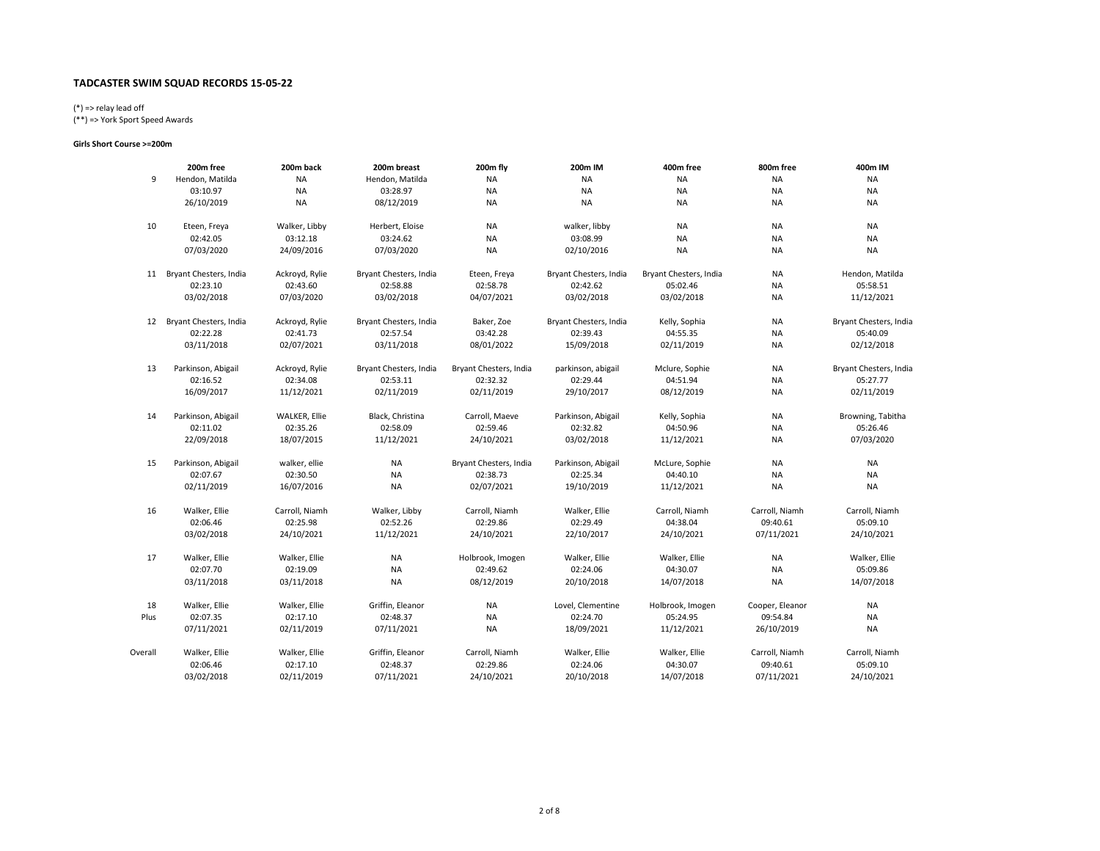# (\*) => relay lead off

(\*\*) => York Sport Speed Awards

#### Girls Short Course >=200m

|         | 200m free              | 200m back      | 200m breast            | 200m fly               | 200m IM                | 400m free              | 800m free       | 400m IM                |
|---------|------------------------|----------------|------------------------|------------------------|------------------------|------------------------|-----------------|------------------------|
| 9       | Hendon, Matilda        | ΝA             | Hendon, Matilda        | NA                     | <b>NA</b>              | <b>NA</b>              | <b>NA</b>       | <b>NA</b>              |
|         | 03:10.97               | NA             | 03:28.97               | <b>NA</b>              | <b>NA</b>              | <b>NA</b>              | <b>NA</b>       | <b>NA</b>              |
|         | 26/10/2019             | <b>NA</b>      | 08/12/2019             | <b>NA</b>              | <b>NA</b>              | <b>NA</b>              | NA              | <b>NA</b>              |
| 10      | Eteen, Freya           | Walker, Libby  | Herbert, Eloise        | <b>NA</b>              | walker, libby          | <b>NA</b>              | <b>NA</b>       | <b>NA</b>              |
|         | 02:42.05               | 03:12.18       | 03:24.62               | NA                     | 03:08.99               | NA                     | NA              | <b>NA</b>              |
|         | 07/03/2020             | 24/09/2016     | 07/03/2020             | <b>NA</b>              | 02/10/2016             | <b>NA</b>              | NA              | <b>NA</b>              |
| 11      | Bryant Chesters, India | Ackroyd, Rylie | Bryant Chesters, India | Eteen, Freya           | Bryant Chesters, India | Bryant Chesters, India | <b>NA</b>       | Hendon, Matilda        |
|         | 02:23.10               | 02:43.60       | 02:58.88               | 02:58.78               | 02:42.62               | 05:02.46               | NA              | 05:58.51               |
|         | 03/02/2018             | 07/03/2020     | 03/02/2018             | 04/07/2021             | 03/02/2018             | 03/02/2018             | <b>NA</b>       | 11/12/2021             |
| 12      | Bryant Chesters, India | Ackroyd, Rylie | Bryant Chesters, India | Baker, Zoe             | Bryant Chesters, India | Kelly, Sophia          | <b>NA</b>       | Bryant Chesters, India |
|         | 02:22.28               | 02:41.73       | 02:57.54               | 03:42.28               | 02:39.43               | 04:55.35               | NA              | 05:40.09               |
|         | 03/11/2018             | 02/07/2021     | 03/11/2018             | 08/01/2022             | 15/09/2018             | 02/11/2019             | NA              | 02/12/2018             |
| 13      | Parkinson, Abigail     | Ackroyd, Rylie | Bryant Chesters, India | Bryant Chesters, India | parkinson, abigail     | Mclure, Sophie         | <b>NA</b>       | Bryant Chesters, India |
|         | 02:16.52               | 02:34.08       | 02:53.11               | 02:32.32               | 02:29.44               | 04:51.94               | <b>NA</b>       | 05:27.77               |
|         | 16/09/2017             | 11/12/2021     | 02/11/2019             | 02/11/2019             | 29/10/2017             | 08/12/2019             | NA              | 02/11/2019             |
| 14      | Parkinson, Abigail     | WALKER, Ellie  | Black, Christina       | Carroll, Maeve         | Parkinson, Abigail     | Kelly, Sophia          | <b>NA</b>       | Browning, Tabitha      |
|         | 02:11.02               | 02:35.26       | 02:58.09               | 02:59.46               | 02:32.82               | 04:50.96               | NA              | 05:26.46               |
|         | 22/09/2018             | 18/07/2015     | 11/12/2021             | 24/10/2021             | 03/02/2018             | 11/12/2021             | NA              | 07/03/2020             |
| 15      | Parkinson, Abigail     | walker, ellie  | <b>NA</b>              | Bryant Chesters, India | Parkinson, Abigail     | McLure, Sophie         | <b>NA</b>       | <b>NA</b>              |
|         | 02:07.67               | 02:30.50       | <b>NA</b>              | 02:38.73               | 02:25.34               | 04:40.10               | NA              | NA                     |
|         | 02/11/2019             | 16/07/2016     | <b>NA</b>              | 02/07/2021             | 19/10/2019             | 11/12/2021             | <b>NA</b>       | <b>NA</b>              |
| 16      | Walker, Ellie          | Carroll, Niamh | Walker, Libby          | Carroll, Niamh         | Walker, Ellie          | Carroll, Niamh         | Carroll, Niamh  | Carroll, Niamh         |
|         | 02:06.46               | 02:25.98       | 02:52.26               | 02:29.86               | 02:29.49               | 04:38.04               | 09:40.61        | 05:09.10               |
|         | 03/02/2018             | 24/10/2021     | 11/12/2021             | 24/10/2021             | 22/10/2017             | 24/10/2021             | 07/11/2021      | 24/10/2021             |
| 17      | Walker, Ellie          | Walker, Ellie  | NA                     | Holbrook, Imogen       | Walker, Ellie          | Walker, Ellie          | NA              | Walker, Ellie          |
|         | 02:07.70               | 02:19.09       | <b>NA</b>              | 02:49.62               | 02:24.06               | 04:30.07               | <b>NA</b>       | 05:09.86               |
|         | 03/11/2018             | 03/11/2018     | <b>NA</b>              | 08/12/2019             | 20/10/2018             | 14/07/2018             | <b>NA</b>       | 14/07/2018             |
| 18      | Walker, Ellie          | Walker, Ellie  | Griffin, Eleanor       | <b>NA</b>              | Lovel, Clementine      | Holbrook, Imogen       | Cooper, Eleanor | <b>NA</b>              |
| Plus    | 02:07.35               | 02:17.10       | 02:48.37               | <b>NA</b>              | 02:24.70               | 05:24.95               | 09:54.84        | <b>NA</b>              |
|         | 07/11/2021             | 02/11/2019     | 07/11/2021             | <b>NA</b>              | 18/09/2021             | 11/12/2021             | 26/10/2019      | <b>NA</b>              |
| Overall | Walker, Ellie          | Walker, Ellie  | Griffin, Eleanor       | Carroll, Niamh         | Walker, Ellie          | Walker, Ellie          | Carroll, Niamh  | Carroll, Niamh         |
|         | 02:06.46               | 02:17.10       | 02:48.37               | 02:29.86               | 02:24.06               | 04:30.07               | 09:40.61        | 05:09.10               |
|         | 03/02/2018             | 02/11/2019     | 07/11/2021             | 24/10/2021             | 20/10/2018             | 14/07/2018             | 07/11/2021      | 24/10/2021             |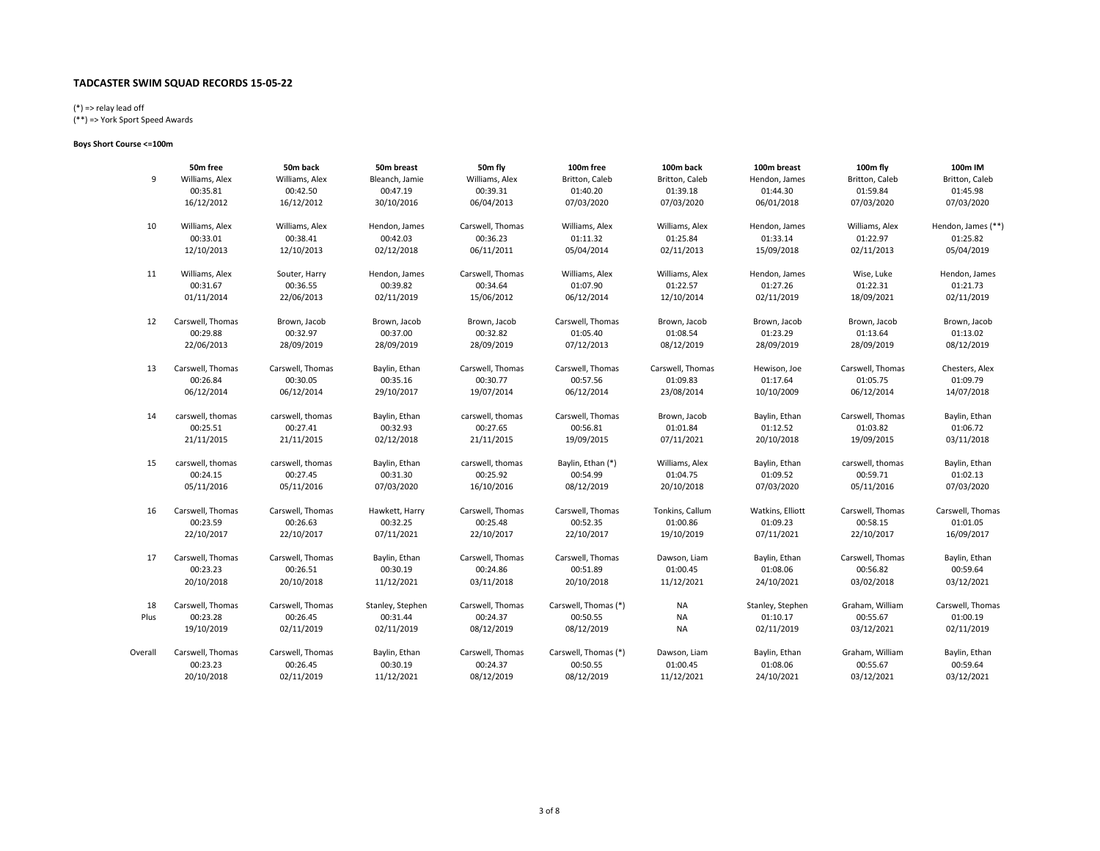# (\*) => relay lead off

(\*\*) => York Sport Speed Awards

### Boys Short Course <=100m

|         | 50m free         | 50m back         | 50m breast       | 50m fly          | 100m free            | 100m back        | 100m breast      | 100m fly         | 100m IM            |
|---------|------------------|------------------|------------------|------------------|----------------------|------------------|------------------|------------------|--------------------|
| 9       | Williams, Alex   | Williams, Alex   | Bleanch, Jamie   | Williams, Alex   | Britton, Caleb       | Britton, Caleb   | Hendon, James    | Britton, Caleb   | Britton, Caleb     |
|         | 00:35.81         | 00:42.50         | 00:47.19         | 00:39.31         | 01:40.20             | 01:39.18         | 01:44.30         | 01:59.84         | 01:45.98           |
|         | 16/12/2012       | 16/12/2012       | 30/10/2016       | 06/04/2013       | 07/03/2020           | 07/03/2020       | 06/01/2018       | 07/03/2020       | 07/03/2020         |
| 10      | Williams, Alex   | Williams, Alex   | Hendon, James    | Carswell, Thomas | Williams, Alex       | Williams, Alex   | Hendon, James    | Williams, Alex   | Hendon, James (**) |
|         | 00:33.01         | 00:38.41         | 00:42.03         | 00:36.23         | 01:11.32             | 01:25.84         | 01:33.14         | 01:22.97         | 01:25.82           |
|         | 12/10/2013       | 12/10/2013       | 02/12/2018       | 06/11/2011       | 05/04/2014           | 02/11/2013       | 15/09/2018       | 02/11/2013       | 05/04/2019         |
| 11      | Williams, Alex   | Souter, Harry    | Hendon, James    | Carswell, Thomas | Williams, Alex       | Williams, Alex   | Hendon, James    | Wise, Luke       | Hendon, James      |
|         | 00:31.67         | 00:36.55         | 00:39.82         | 00:34.64         | 01:07.90             | 01:22.57         | 01:27.26         | 01:22.31         | 01:21.73           |
|         | 01/11/2014       | 22/06/2013       | 02/11/2019       | 15/06/2012       | 06/12/2014           | 12/10/2014       | 02/11/2019       | 18/09/2021       | 02/11/2019         |
| 12      | Carswell, Thomas | Brown, Jacob     | Brown, Jacob     | Brown, Jacob     | Carswell, Thomas     | Brown, Jacob     | Brown, Jacob     | Brown, Jacob     | Brown, Jacob       |
|         | 00:29.88         | 00:32.97         | 00:37.00         | 00:32.82         | 01:05.40             | 01:08.54         | 01:23.29         | 01:13.64         | 01:13.02           |
|         | 22/06/2013       | 28/09/2019       | 28/09/2019       | 28/09/2019       | 07/12/2013           | 08/12/2019       | 28/09/2019       | 28/09/2019       | 08/12/2019         |
| 13      | Carswell, Thomas | Carswell, Thomas | Baylin, Ethan    | Carswell, Thomas | Carswell, Thomas     | Carswell, Thomas | Hewison, Joe     | Carswell, Thomas | Chesters, Alex     |
|         | 00:26.84         | 00:30.05         | 00:35.16         | 00:30.77         | 00:57.56             | 01:09.83         | 01:17.64         | 01:05.75         | 01:09.79           |
|         | 06/12/2014       | 06/12/2014       | 29/10/2017       | 19/07/2014       | 06/12/2014           | 23/08/2014       | 10/10/2009       | 06/12/2014       | 14/07/2018         |
| 14      | carswell, thomas | carswell, thomas | Baylin, Ethan    | carswell, thomas | Carswell, Thomas     | Brown, Jacob     | Baylin, Ethan    | Carswell, Thomas | Baylin, Ethan      |
|         | 00:25.51         | 00:27.41         | 00:32.93         | 00:27.65         | 00:56.81             | 01:01.84         | 01:12.52         | 01:03.82         | 01:06.72           |
|         | 21/11/2015       | 21/11/2015       | 02/12/2018       | 21/11/2015       | 19/09/2015           | 07/11/2021       | 20/10/2018       | 19/09/2015       | 03/11/2018         |
| 15      | carswell, thomas | carswell, thomas | Baylin, Ethan    | carswell, thomas | Baylin, Ethan (*)    | Williams, Alex   | Baylin, Ethan    | carswell, thomas | Baylin, Ethan      |
|         | 00:24.15         | 00:27.45         | 00:31.30         | 00:25.92         | 00:54.99             | 01:04.75         | 01:09.52         | 00:59.71         | 01:02.13           |
|         | 05/11/2016       | 05/11/2016       | 07/03/2020       | 16/10/2016       | 08/12/2019           | 20/10/2018       | 07/03/2020       | 05/11/2016       | 07/03/2020         |
| 16      | Carswell, Thomas | Carswell, Thomas | Hawkett, Harry   | Carswell, Thomas | Carswell, Thomas     | Tonkins, Callum  | Watkins, Elliott | Carswell, Thomas | Carswell, Thomas   |
|         | 00:23.59         | 00:26.63         | 00:32.25         | 00:25.48         | 00:52.35             | 01:00.86         | 01:09.23         | 00:58.15         | 01:01.05           |
|         | 22/10/2017       | 22/10/2017       | 07/11/2021       | 22/10/2017       | 22/10/2017           | 19/10/2019       | 07/11/2021       | 22/10/2017       | 16/09/2017         |
| 17      | Carswell, Thomas | Carswell, Thomas | Baylin, Ethan    | Carswell, Thomas | Carswell, Thomas     | Dawson, Liam     | Baylin, Ethan    | Carswell, Thomas | Baylin, Ethan      |
|         | 00:23.23         | 00:26.51         | 00:30.19         | 00:24.86         | 00:51.89             | 01:00.45         | 01:08.06         | 00:56.82         | 00:59.64           |
|         | 20/10/2018       | 20/10/2018       | 11/12/2021       | 03/11/2018       | 20/10/2018           | 11/12/2021       | 24/10/2021       | 03/02/2018       | 03/12/2021         |
| 18      | Carswell, Thomas | Carswell, Thomas | Stanley, Stephen | Carswell, Thomas | Carswell, Thomas (*) | NA               | Stanley, Stephen | Graham, William  | Carswell, Thomas   |
| Plus    | 00:23.28         | 00:26.45         | 00:31.44         | 00:24.37         | 00:50.55             | <b>NA</b>        | 01:10.17         | 00:55.67         | 01:00.19           |
|         | 19/10/2019       | 02/11/2019       | 02/11/2019       | 08/12/2019       | 08/12/2019           | <b>NA</b>        | 02/11/2019       | 03/12/2021       | 02/11/2019         |
| Overall | Carswell, Thomas | Carswell, Thomas | Baylin, Ethan    | Carswell, Thomas | Carswell, Thomas (*) | Dawson, Liam     | Baylin, Ethan    | Graham, William  | Baylin, Ethan      |
|         | 00:23.23         | 00:26.45         | 00:30.19         | 00:24.37         | 00:50.55             | 01:00.45         | 01:08.06         | 00:55.67         | 00:59.64           |
|         | 20/10/2018       | 02/11/2019       | 11/12/2021       | 08/12/2019       | 08/12/2019           | 11/12/2021       | 24/10/2021       | 03/12/2021       | 03/12/2021         |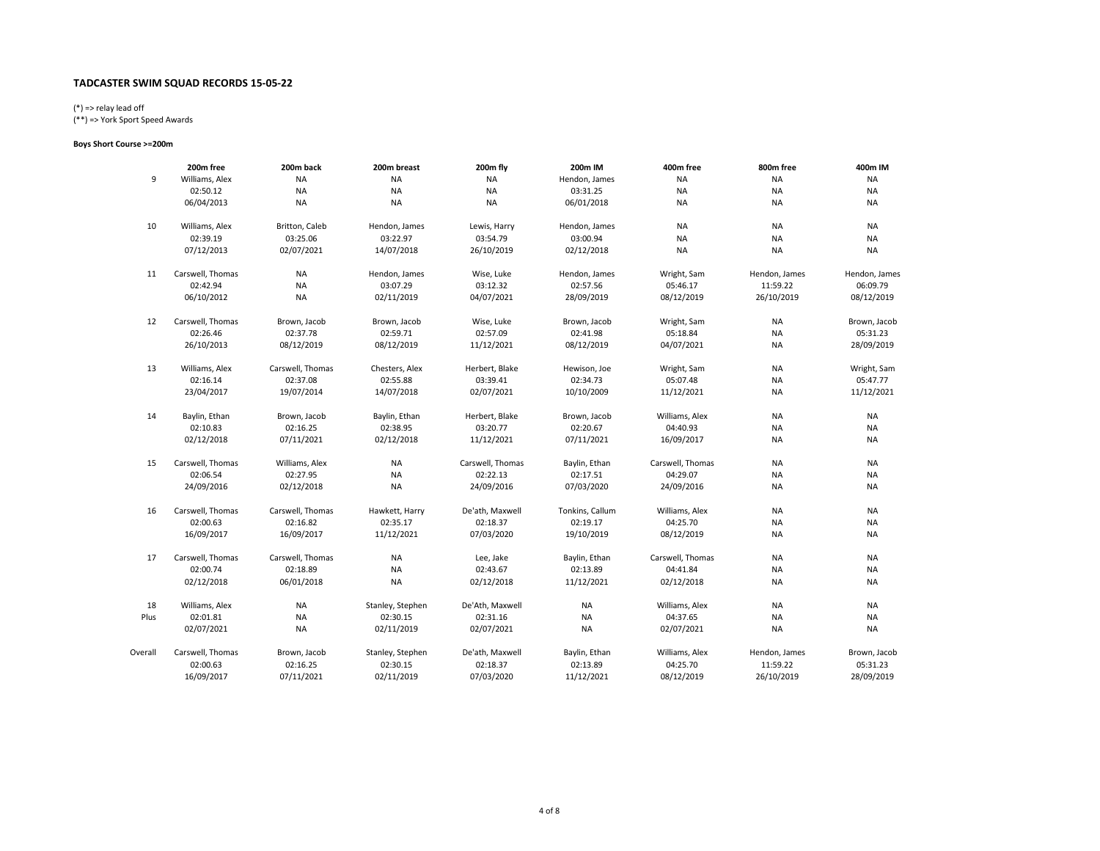# (\*) => relay lead off

(\*\*) => York Sport Speed Awards

### Boys Short Course >=200m

|         | 200m free        | 200m back        | 200m breast      | 200m fly         | 200m IM         | 400m free        | 800m free     | 400m IM       |
|---------|------------------|------------------|------------------|------------------|-----------------|------------------|---------------|---------------|
| 9       | Williams, Alex   | NA               | <b>NA</b>        | <b>NA</b>        | Hendon, James   | <b>NA</b>        | <b>NA</b>     | <b>NA</b>     |
|         | 02:50.12         | <b>NA</b>        | <b>NA</b>        | <b>NA</b>        | 03:31.25        | <b>NA</b>        | <b>NA</b>     | <b>NA</b>     |
|         | 06/04/2013       | <b>NA</b>        | <b>NA</b>        | <b>NA</b>        | 06/01/2018      | <b>NA</b>        | <b>NA</b>     | NA            |
| 10      | Williams, Alex   | Britton, Caleb   | Hendon, James    | Lewis, Harry     | Hendon, James   | <b>NA</b>        | <b>NA</b>     | <b>NA</b>     |
|         | 02:39.19         | 03:25.06         | 03:22.97         | 03:54.79         | 03:00.94        | <b>NA</b>        | <b>NA</b>     | <b>NA</b>     |
|         | 07/12/2013       | 02/07/2021       | 14/07/2018       | 26/10/2019       | 02/12/2018      | <b>NA</b>        | <b>NA</b>     | <b>NA</b>     |
| 11      | Carswell, Thomas | <b>NA</b>        | Hendon, James    | Wise, Luke       | Hendon, James   | Wright, Sam      | Hendon, James | Hendon, James |
|         | 02:42.94         | <b>NA</b>        | 03:07.29         | 03:12.32         | 02:57.56        | 05:46.17         | 11:59.22      | 06:09.79      |
|         | 06/10/2012       | <b>NA</b>        | 02/11/2019       | 04/07/2021       | 28/09/2019      | 08/12/2019       | 26/10/2019    | 08/12/2019    |
| 12      | Carswell, Thomas | Brown, Jacob     | Brown, Jacob     | Wise, Luke       | Brown, Jacob    | Wright, Sam      | <b>NA</b>     | Brown, Jacob  |
|         | 02:26.46         | 02:37.78         | 02:59.71         | 02:57.09         | 02:41.98        | 05:18.84         | <b>NA</b>     | 05:31.23      |
|         | 26/10/2013       | 08/12/2019       | 08/12/2019       | 11/12/2021       | 08/12/2019      | 04/07/2021       | <b>NA</b>     | 28/09/2019    |
| 13      | Williams, Alex   | Carswell, Thomas | Chesters, Alex   | Herbert, Blake   | Hewison, Joe    | Wright, Sam      | <b>NA</b>     | Wright, Sam   |
|         | 02:16.14         | 02:37.08         | 02:55.88         | 03:39.41         | 02:34.73        | 05:07.48         | <b>NA</b>     | 05:47.77      |
|         | 23/04/2017       | 19/07/2014       | 14/07/2018       | 02/07/2021       | 10/10/2009      | 11/12/2021       | <b>NA</b>     | 11/12/2021    |
| 14      | Baylin, Ethan    | Brown, Jacob     | Baylin, Ethan    | Herbert, Blake   | Brown, Jacob    | Williams, Alex   | <b>NA</b>     | <b>NA</b>     |
|         | 02:10.83         | 02:16.25         | 02:38.95         | 03:20.77         | 02:20.67        | 04:40.93         | NA            | <b>NA</b>     |
|         | 02/12/2018       | 07/11/2021       | 02/12/2018       | 11/12/2021       | 07/11/2021      | 16/09/2017       | <b>NA</b>     | <b>NA</b>     |
| 15      | Carswell, Thomas | Williams, Alex   | <b>NA</b>        | Carswell, Thomas | Baylin, Ethan   | Carswell, Thomas | <b>NA</b>     | <b>NA</b>     |
|         | 02:06.54         | 02:27.95         | <b>NA</b>        | 02:22.13         | 02:17.51        | 04:29.07         | NA            | NA            |
|         | 24/09/2016       | 02/12/2018       | <b>NA</b>        | 24/09/2016       | 07/03/2020      | 24/09/2016       | <b>NA</b>     | <b>NA</b>     |
| 16      | Carswell, Thomas | Carswell, Thomas | Hawkett, Harry   | De'ath, Maxwell  | Tonkins, Callum | Williams, Alex   | <b>NA</b>     | <b>NA</b>     |
|         | 02:00.63         | 02:16.82         | 02:35.17         | 02:18.37         | 02:19.17        | 04:25.70         | NA            | NA            |
|         | 16/09/2017       | 16/09/2017       | 11/12/2021       | 07/03/2020       | 19/10/2019      | 08/12/2019       | <b>NA</b>     | <b>NA</b>     |
| 17      | Carswell, Thomas | Carswell, Thomas | <b>NA</b>        | Lee, Jake        | Baylin, Ethan   | Carswell, Thomas | <b>NA</b>     | <b>NA</b>     |
|         | 02:00.74         | 02:18.89         | <b>NA</b>        | 02:43.67         | 02:13.89        | 04:41.84         | <b>NA</b>     | <b>NA</b>     |
|         | 02/12/2018       | 06/01/2018       | <b>NA</b>        | 02/12/2018       | 11/12/2021      | 02/12/2018       | <b>NA</b>     | <b>NA</b>     |
| 18      | Williams, Alex   | NA               | Stanley, Stephen | De'Ath, Maxwell  | <b>NA</b>       | Williams, Alex   | <b>NA</b>     | <b>NA</b>     |
| Plus    | 02:01.81         | <b>NA</b>        | 02:30.15         | 02:31.16         | <b>NA</b>       | 04:37.65         | <b>NA</b>     | <b>NA</b>     |
|         | 02/07/2021       | <b>NA</b>        | 02/11/2019       | 02/07/2021       | <b>NA</b>       | 02/07/2021       | <b>NA</b>     | <b>NA</b>     |
| Overall | Carswell, Thomas | Brown, Jacob     | Stanley, Stephen | De'ath, Maxwell  | Baylin, Ethan   | Williams, Alex   | Hendon, James | Brown, Jacob  |
|         | 02:00.63         | 02:16.25         | 02:30.15         | 02:18.37         | 02:13.89        | 04:25.70         | 11:59.22      | 05:31.23      |
|         | 16/09/2017       | 07/11/2021       | 02/11/2019       | 07/03/2020       | 11/12/2021      | 08/12/2019       | 26/10/2019    | 28/09/2019    |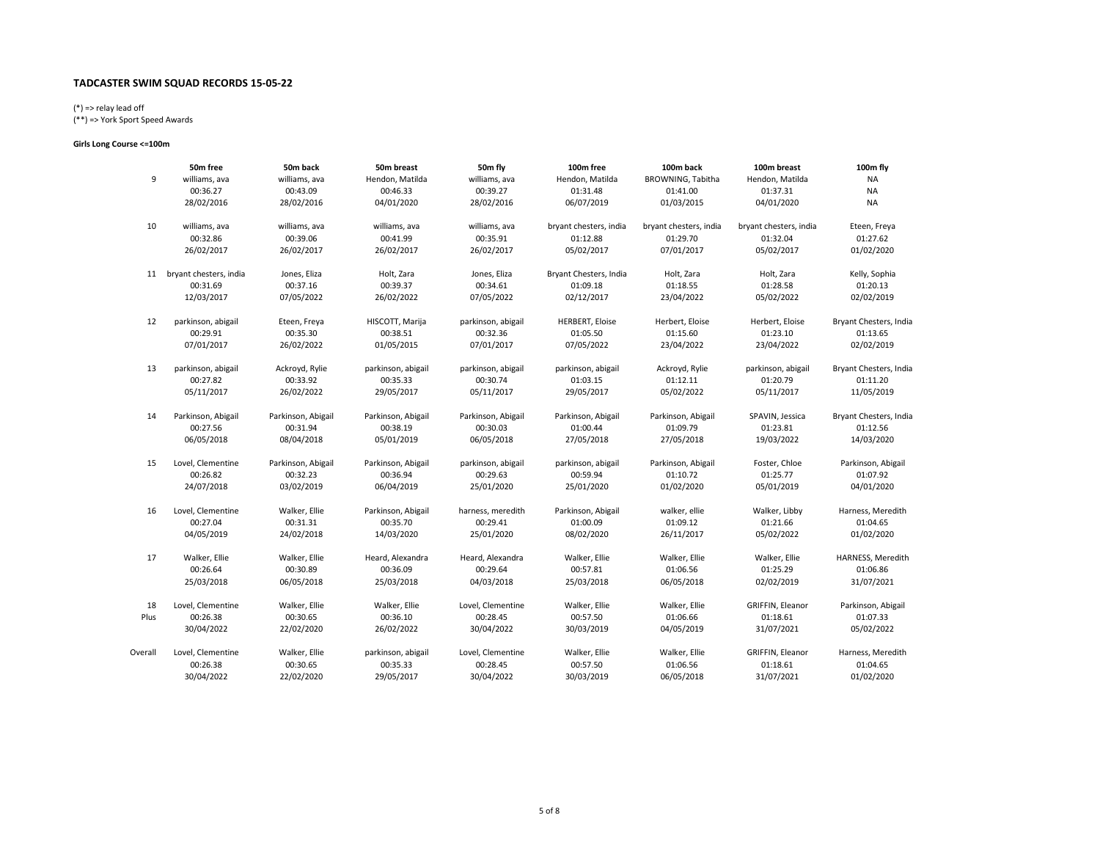# (\*) => relay lead off

(\*\*) => York Sport Speed Awards

### Girls Long Course <=100m

|         | 50m free                  | 50m back           | 50m breast         | 50m fly            | 100m free              | 100m back              | 100m breast            | 100m fly               |
|---------|---------------------------|--------------------|--------------------|--------------------|------------------------|------------------------|------------------------|------------------------|
| 9       | williams, ava             | williams, ava      | Hendon, Matilda    | williams, ava      | Hendon, Matilda        | BROWNING, Tabitha      | Hendon, Matilda        | <b>NA</b>              |
|         | 00:36.27                  | 00:43.09           | 00:46.33           | 00:39.27           | 01:31.48               | 01:41.00               | 01:37.31               | <b>NA</b>              |
|         | 28/02/2016                | 28/02/2016         | 04/01/2020         | 28/02/2016         | 06/07/2019             | 01/03/2015             | 04/01/2020             | <b>NA</b>              |
| 10      | williams, ava             | williams, ava      | williams, ava      | williams, ava      | bryant chesters, india | bryant chesters, india | bryant chesters, india | Eteen, Freya           |
|         | 00:32.86                  | 00:39.06           | 00:41.99           | 00:35.91           | 01:12.88               | 01:29.70               | 01:32.04               | 01:27.62               |
|         | 26/02/2017                | 26/02/2017         | 26/02/2017         | 26/02/2017         | 05/02/2017             | 07/01/2017             | 05/02/2017             | 01/02/2020             |
|         | 11 bryant chesters, india | Jones, Eliza       | Holt, Zara         | Jones, Eliza       | Bryant Chesters, India | Holt, Zara             | Holt, Zara             | Kelly, Sophia          |
|         | 00:31.69                  | 00:37.16           | 00:39.37           | 00:34.61           | 01:09.18               | 01:18.55               | 01:28.58               | 01:20.13               |
|         | 12/03/2017                | 07/05/2022         | 26/02/2022         | 07/05/2022         | 02/12/2017             | 23/04/2022             | 05/02/2022             | 02/02/2019             |
| 12      | parkinson, abigail        | Eteen, Freya       | HISCOTT, Marija    | parkinson, abigail | <b>HERBERT, Eloise</b> | Herbert, Eloise        | Herbert, Eloise        | Bryant Chesters, India |
|         | 00:29.91                  | 00:35.30           | 00:38.51           | 00:32.36           | 01:05.50               | 01:15.60               | 01:23.10               | 01:13.65               |
|         | 07/01/2017                | 26/02/2022         | 01/05/2015         | 07/01/2017         | 07/05/2022             | 23/04/2022             | 23/04/2022             | 02/02/2019             |
| 13      | parkinson, abigail        | Ackroyd, Rylie     | parkinson, abigail | parkinson, abigail | parkinson, abigail     | Ackroyd, Rylie         | parkinson, abigail     | Bryant Chesters, India |
|         | 00:27.82                  | 00:33.92           | 00:35.33           | 00:30.74           | 01:03.15               | 01:12.11               | 01:20.79               | 01:11.20               |
|         | 05/11/2017                | 26/02/2022         | 29/05/2017         | 05/11/2017         | 29/05/2017             | 05/02/2022             | 05/11/2017             | 11/05/2019             |
| 14      | Parkinson, Abigail        | Parkinson, Abigail | Parkinson, Abigail | Parkinson, Abigail | Parkinson, Abigail     | Parkinson, Abigail     | SPAVIN, Jessica        | Bryant Chesters, India |
|         | 00:27.56                  | 00:31.94           | 00:38.19           | 00:30.03           | 01:00.44               | 01:09.79               | 01:23.81               | 01:12.56               |
|         | 06/05/2018                | 08/04/2018         | 05/01/2019         | 06/05/2018         | 27/05/2018             | 27/05/2018             | 19/03/2022             | 14/03/2020             |
| 15      | Lovel, Clementine         | Parkinson, Abigail | Parkinson, Abigail | parkinson, abigail | parkinson, abigail     | Parkinson, Abigail     | Foster, Chloe          | Parkinson, Abigail     |
|         | 00:26.82                  | 00:32.23           | 00:36.94           | 00:29.63           | 00:59.94               | 01:10.72               | 01:25.77               | 01:07.92               |
|         | 24/07/2018                | 03/02/2019         | 06/04/2019         | 25/01/2020         | 25/01/2020             | 01/02/2020             | 05/01/2019             | 04/01/2020             |
| 16      | Lovel, Clementine         | Walker, Ellie      | Parkinson, Abigail | harness, meredith  | Parkinson, Abigail     | walker, ellie          | Walker, Libby          | Harness, Meredith      |
|         | 00:27.04                  | 00:31.31           | 00:35.70           | 00:29.41           | 01:00.09               | 01:09.12               | 01:21.66               | 01:04.65               |
|         | 04/05/2019                | 24/02/2018         | 14/03/2020         | 25/01/2020         | 08/02/2020             | 26/11/2017             | 05/02/2022             | 01/02/2020             |
| 17      | Walker, Ellie             | Walker, Ellie      | Heard, Alexandra   | Heard, Alexandra   | Walker, Ellie          | Walker, Ellie          | Walker, Ellie          | HARNESS, Meredith      |
|         | 00:26.64                  | 00:30.89           | 00:36.09           | 00:29.64           | 00:57.81               | 01:06.56               | 01:25.29               | 01:06.86               |
|         | 25/03/2018                | 06/05/2018         | 25/03/2018         | 04/03/2018         | 25/03/2018             | 06/05/2018             | 02/02/2019             | 31/07/2021             |
| 18      | Lovel, Clementine         | Walker, Ellie      | Walker, Ellie      | Lovel, Clementine  | Walker, Ellie          | Walker, Ellie          | GRIFFIN, Eleanor       | Parkinson, Abigail     |
| Plus    | 00:26.38                  | 00:30.65           | 00:36.10           | 00:28.45           | 00:57.50               | 01:06.66               | 01:18.61               | 01:07.33               |
|         | 30/04/2022                | 22/02/2020         | 26/02/2022         | 30/04/2022         | 30/03/2019             | 04/05/2019             | 31/07/2021             | 05/02/2022             |
| Overall | Lovel, Clementine         | Walker, Ellie      | parkinson, abigail | Lovel, Clementine  | Walker, Ellie          | Walker, Ellie          | GRIFFIN, Eleanor       | Harness, Meredith      |
|         | 00:26.38                  | 00:30.65           | 00:35.33           | 00:28.45           | 00:57.50               | 01:06.56               | 01:18.61               | 01:04.65               |
|         | 30/04/2022                | 22/02/2020         | 29/05/2017         | 30/04/2022         | 30/03/2019             | 06/05/2018             | 31/07/2021             | 01/02/2020             |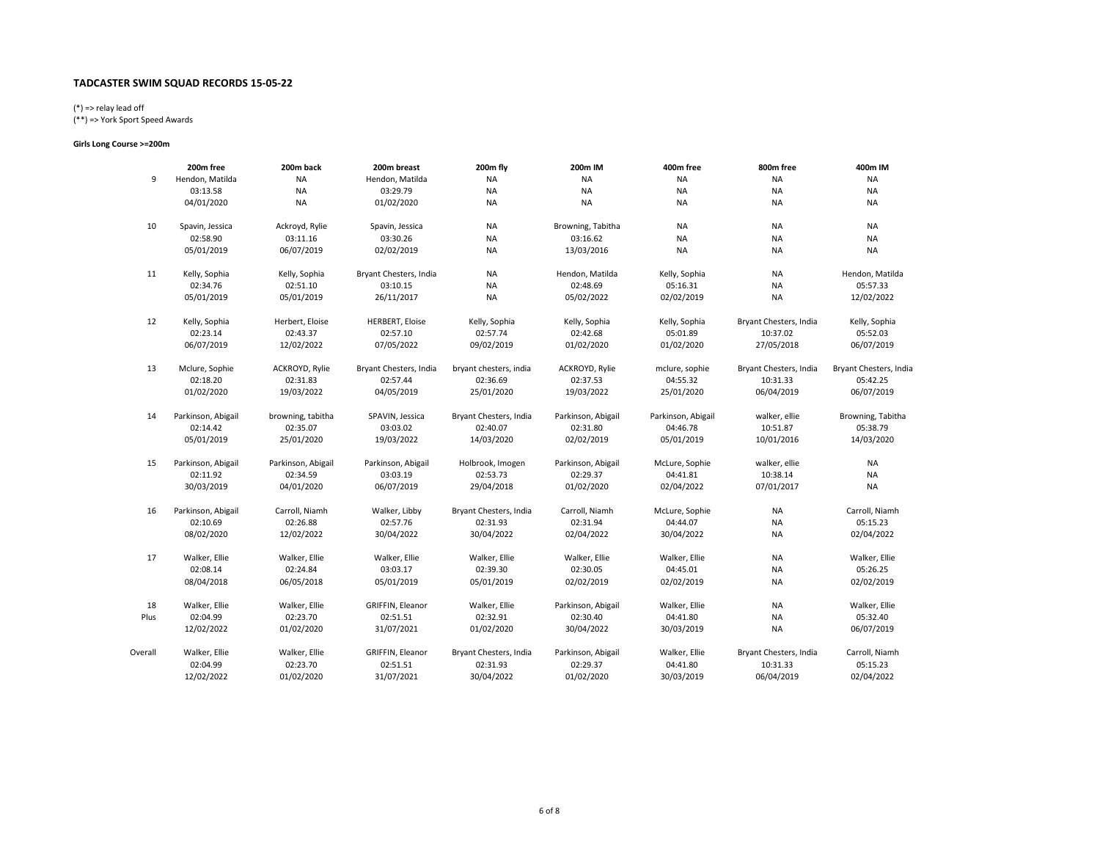# (\*) => relay lead off

(\*\*) => York Sport Speed Awards

### Girls Long Course >=200m

|         | 200m free          | 200m back          | 200m breast            | 200m fly               | 200m IM            | 400m free          | 800m free              | 400m IM                |
|---------|--------------------|--------------------|------------------------|------------------------|--------------------|--------------------|------------------------|------------------------|
| 9       | Hendon, Matilda    | NA                 | Hendon, Matilda        | <b>NA</b>              | <b>NA</b>          | <b>NA</b>          | <b>NA</b>              | NA                     |
|         | 03:13.58           | NA                 | 03:29.79               | <b>NA</b>              | <b>NA</b>          | <b>NA</b>          | <b>NA</b>              | <b>NA</b>              |
|         | 04/01/2020         | <b>NA</b>          | 01/02/2020             | <b>NA</b>              | <b>NA</b>          | <b>NA</b>          | <b>NA</b>              | NA                     |
| 10      | Spavin, Jessica    | Ackroyd, Rylie     | Spavin, Jessica        | NA                     | Browning, Tabitha  | <b>NA</b>          | <b>NA</b>              | <b>NA</b>              |
|         | 02:58.90           | 03:11.16           | 03:30.26               | <b>NA</b>              | 03:16.62           | <b>NA</b>          | NA                     | NA                     |
|         | 05/01/2019         | 06/07/2019         | 02/02/2019             | <b>NA</b>              | 13/03/2016         | <b>NA</b>          | <b>NA</b>              | <b>NA</b>              |
| 11      | Kelly, Sophia      | Kelly, Sophia      | Bryant Chesters, India | NA                     | Hendon, Matilda    | Kelly, Sophia      | ΝA                     | Hendon, Matilda        |
|         | 02:34.76           | 02:51.10           | 03:10.15               | <b>NA</b>              | 02:48.69           | 05:16.31           | <b>NA</b>              | 05:57.33               |
|         | 05/01/2019         | 05/01/2019         | 26/11/2017             | <b>NA</b>              | 05/02/2022         | 02/02/2019         | <b>NA</b>              | 12/02/2022             |
| 12      | Kelly, Sophia      | Herbert, Eloise    | <b>HERBERT, Eloise</b> | Kelly, Sophia          | Kelly, Sophia      | Kelly, Sophia      | Bryant Chesters, India | Kelly, Sophia          |
|         | 02:23.14           | 02:43.37           | 02:57.10               | 02:57.74               | 02:42.68           | 05:01.89           | 10:37.02               | 05:52.03               |
|         | 06/07/2019         | 12/02/2022         | 07/05/2022             | 09/02/2019             | 01/02/2020         | 01/02/2020         | 27/05/2018             | 06/07/2019             |
| 13      | Mclure, Sophie     | ACKROYD, Rylie     | Bryant Chesters, India | bryant chesters, india | ACKROYD, Rylie     | mclure, sophie     | Bryant Chesters, India | Bryant Chesters, India |
|         | 02:18.20           | 02:31.83           | 02:57.44               | 02:36.69               | 02:37.53           | 04:55.32           | 10:31.33               | 05:42.25               |
|         | 01/02/2020         | 19/03/2022         | 04/05/2019             | 25/01/2020             | 19/03/2022         | 25/01/2020         | 06/04/2019             | 06/07/2019             |
| 14      | Parkinson, Abigail | browning, tabitha  | SPAVIN, Jessica        | Bryant Chesters, India | Parkinson, Abigail | Parkinson, Abigail | walker, ellie          | Browning, Tabitha      |
|         | 02:14.42           | 02:35.07           | 03:03.02               | 02:40.07               | 02:31.80           | 04:46.78           | 10:51.87               | 05:38.79               |
|         | 05/01/2019         | 25/01/2020         | 19/03/2022             | 14/03/2020             | 02/02/2019         | 05/01/2019         | 10/01/2016             | 14/03/2020             |
| 15      | Parkinson, Abigail | Parkinson, Abigail | Parkinson, Abigail     | Holbrook, Imogen       | Parkinson, Abigail | McLure, Sophie     | walker, ellie          | NA                     |
|         | 02:11.92           | 02:34.59           | 03:03.19               | 02:53.73               | 02:29.37           | 04:41.81           | 10:38.14               | <b>NA</b>              |
|         | 30/03/2019         | 04/01/2020         | 06/07/2019             | 29/04/2018             | 01/02/2020         | 02/04/2022         | 07/01/2017             | <b>NA</b>              |
| 16      | Parkinson, Abigail | Carroll, Niamh     | Walker, Libby          | Bryant Chesters, India | Carroll, Niamh     | McLure, Sophie     | <b>NA</b>              | Carroll, Niamh         |
|         | 02:10.69           | 02:26.88           | 02:57.76               | 02:31.93               | 02:31.94           | 04:44.07           | <b>NA</b>              | 05:15.23               |
|         | 08/02/2020         | 12/02/2022         | 30/04/2022             | 30/04/2022             | 02/04/2022         | 30/04/2022         | NA                     | 02/04/2022             |
| 17      | Walker, Ellie      | Walker, Ellie      | Walker, Ellie          | Walker, Ellie          | Walker, Ellie      | Walker, Ellie      | NA                     | Walker, Ellie          |
|         | 02:08.14           | 02:24.84           | 03:03.17               | 02:39.30               | 02:30.05           | 04:45.01           | <b>NA</b>              | 05:26.25               |
|         | 08/04/2018         | 06/05/2018         | 05/01/2019             | 05/01/2019             | 02/02/2019         | 02/02/2019         | <b>NA</b>              | 02/02/2019             |
| 18      | Walker, Ellie      | Walker, Ellie      | GRIFFIN, Eleanor       | Walker, Ellie          | Parkinson, Abigail | Walker, Ellie      | <b>NA</b>              | Walker, Ellie          |
| Plus    | 02:04.99           | 02:23.70           | 02:51.51               | 02:32.91               | 02:30.40           | 04:41.80           | NA                     | 05:32.40               |
|         | 12/02/2022         | 01/02/2020         | 31/07/2021             | 01/02/2020             | 30/04/2022         | 30/03/2019         | <b>NA</b>              | 06/07/2019             |
| Overall | Walker, Ellie      | Walker, Ellie      | GRIFFIN, Eleanor       | Bryant Chesters, India | Parkinson, Abigail | Walker, Ellie      | Bryant Chesters, India | Carroll, Niamh         |
|         | 02:04.99           | 02:23.70           | 02:51.51               | 02:31.93               | 02:29.37           | 04:41.80           | 10:31.33               | 05:15.23               |
|         | 12/02/2022         | 01/02/2020         | 31/07/2021             | 30/04/2022             | 01/02/2020         | 30/03/2019         | 06/04/2019             | 02/04/2022             |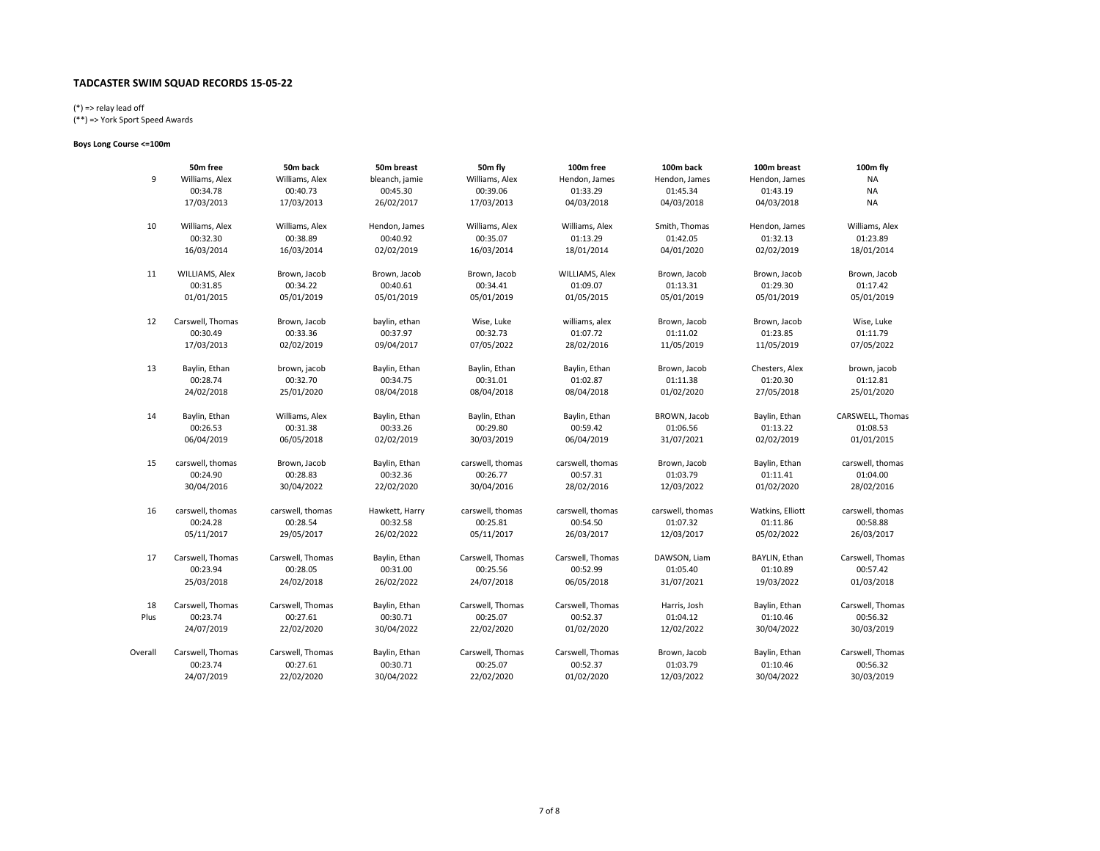# (\*) => relay lead off

(\*\*) => York Sport Speed Awards

### Boys Long Course <=100m

|         | 50m free         | 50m back         | 50m breast     | 50m fly          | 100m free        | 100m back        | 100m breast      | 100m fly         |
|---------|------------------|------------------|----------------|------------------|------------------|------------------|------------------|------------------|
| 9       | Williams, Alex   | Williams, Alex   | bleanch, jamie | Williams, Alex   | Hendon, James    | Hendon, James    | Hendon, James    | NA               |
|         | 00:34.78         | 00:40.73         | 00:45.30       | 00:39.06         | 01:33.29         | 01:45.34         | 01:43.19         | <b>NA</b>        |
|         | 17/03/2013       | 17/03/2013       | 26/02/2017     | 17/03/2013       | 04/03/2018       | 04/03/2018       | 04/03/2018       | NA               |
| 10      | Williams, Alex   | Williams, Alex   | Hendon, James  | Williams, Alex   | Williams, Alex   | Smith, Thomas    | Hendon, James    | Williams, Alex   |
|         | 00:32.30         | 00:38.89         | 00:40.92       | 00:35.07         | 01:13.29         | 01:42.05         | 01:32.13         | 01:23.89         |
|         | 16/03/2014       | 16/03/2014       | 02/02/2019     | 16/03/2014       | 18/01/2014       | 04/01/2020       | 02/02/2019       | 18/01/2014       |
| 11      | WILLIAMS, Alex   | Brown, Jacob     | Brown, Jacob   | Brown, Jacob     | WILLIAMS, Alex   | Brown, Jacob     | Brown, Jacob     | Brown, Jacob     |
|         | 00:31.85         | 00:34.22         | 00:40.61       | 00:34.41         | 01:09.07         | 01:13.31         | 01:29.30         | 01:17.42         |
|         | 01/01/2015       | 05/01/2019       | 05/01/2019     | 05/01/2019       | 01/05/2015       | 05/01/2019       | 05/01/2019       | 05/01/2019       |
| 12      | Carswell, Thomas | Brown, Jacob     | baylin, ethan  | Wise, Luke       | williams, alex   | Brown, Jacob     | Brown, Jacob     | Wise, Luke       |
|         | 00:30.49         | 00:33.36         | 00:37.97       | 00:32.73         | 01:07.72         | 01:11.02         | 01:23.85         | 01:11.79         |
|         | 17/03/2013       | 02/02/2019       | 09/04/2017     | 07/05/2022       | 28/02/2016       | 11/05/2019       | 11/05/2019       | 07/05/2022       |
| 13      | Baylin, Ethan    | brown, jacob     | Baylin, Ethan  | Baylin, Ethan    | Baylin, Ethan    | Brown, Jacob     | Chesters, Alex   | brown, jacob     |
|         | 00:28.74         | 00:32.70         | 00:34.75       | 00:31.01         | 01:02.87         | 01:11.38         | 01:20.30         | 01:12.81         |
|         | 24/02/2018       | 25/01/2020       | 08/04/2018     | 08/04/2018       | 08/04/2018       | 01/02/2020       | 27/05/2018       | 25/01/2020       |
| 14      | Baylin, Ethan    | Williams, Alex   | Baylin, Ethan  | Baylin, Ethan    | Baylin, Ethan    | BROWN, Jacob     | Baylin, Ethan    | CARSWELL, Thomas |
|         | 00:26.53         | 00:31.38         | 00:33.26       | 00:29.80         | 00:59.42         | 01:06.56         | 01:13.22         | 01:08.53         |
|         | 06/04/2019       | 06/05/2018       | 02/02/2019     | 30/03/2019       | 06/04/2019       | 31/07/2021       | 02/02/2019       | 01/01/2015       |
| 15      | carswell, thomas | Brown, Jacob     | Baylin, Ethan  | carswell, thomas | carswell, thomas | Brown, Jacob     | Baylin, Ethan    | carswell, thomas |
|         | 00:24.90         | 00:28.83         | 00:32.36       | 00:26.77         | 00:57.31         | 01:03.79         | 01:11.41         | 01:04.00         |
|         | 30/04/2016       | 30/04/2022       | 22/02/2020     | 30/04/2016       | 28/02/2016       | 12/03/2022       | 01/02/2020       | 28/02/2016       |
| 16      | carswell, thomas | carswell, thomas | Hawkett, Harry | carswell, thomas | carswell, thomas | carswell, thomas | Watkins, Elliott | carswell, thomas |
|         | 00:24.28         | 00:28.54         | 00:32.58       | 00:25.81         | 00:54.50         | 01:07.32         | 01:11.86         | 00:58.88         |
|         | 05/11/2017       | 29/05/2017       | 26/02/2022     | 05/11/2017       | 26/03/2017       | 12/03/2017       | 05/02/2022       | 26/03/2017       |
| 17      | Carswell, Thomas | Carswell, Thomas | Baylin, Ethan  | Carswell, Thomas | Carswell, Thomas | DAWSON, Liam     | BAYLIN, Ethan    | Carswell, Thomas |
|         | 00:23.94         | 00:28.05         | 00:31.00       | 00:25.56         | 00:52.99         | 01:05.40         | 01:10.89         | 00:57.42         |
|         | 25/03/2018       | 24/02/2018       | 26/02/2022     | 24/07/2018       | 06/05/2018       | 31/07/2021       | 19/03/2022       | 01/03/2018       |
| 18      | Carswell, Thomas | Carswell, Thomas | Baylin, Ethan  | Carswell, Thomas | Carswell, Thomas | Harris, Josh     | Baylin, Ethan    | Carswell, Thomas |
| Plus    | 00:23.74         | 00:27.61         | 00:30.71       | 00:25.07         | 00:52.37         | 01:04.12         | 01:10.46         | 00:56.32         |
|         | 24/07/2019       | 22/02/2020       | 30/04/2022     | 22/02/2020       | 01/02/2020       | 12/02/2022       | 30/04/2022       | 30/03/2019       |
| Overall | Carswell, Thomas | Carswell, Thomas | Baylin, Ethan  | Carswell, Thomas | Carswell, Thomas | Brown, Jacob     | Baylin, Ethan    | Carswell, Thomas |
|         | 00:23.74         | 00:27.61         | 00:30.71       | 00:25.07         | 00:52.37         | 01:03.79         | 01:10.46         | 00:56.32         |
|         | 24/07/2019       | 22/02/2020       | 30/04/2022     | 22/02/2020       | 01/02/2020       | 12/03/2022       | 30/04/2022       | 30/03/2019       |